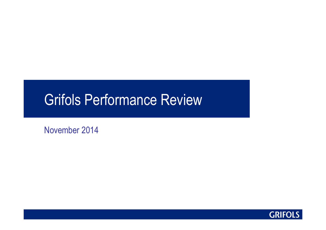# Grifols Performance Review

November 2014

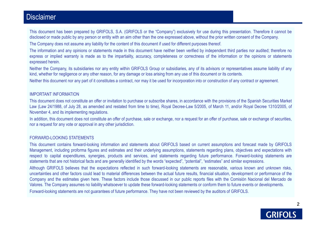#### **Disclaimer**

This document has been prepared by GRIFOLS, S.A. (GRIFOLS or the "Company") exclusively for use during this presentation. Therefore it cannot bedisclosed or made public by any person or entity with an aim other than the one expressed above, without the prior written consent of the Company.

The Company does not assume any liability for the content of this document if used for different purposes thereof.

The information and any opinions or statements made in this document have neither been verified by independent third parties nor audited; therefore no express or implied warranty is made as to the impartiality, accuracy, completeness or correctness of the information or the opinions or statementsexpressed herein.

Neither the Company, its subsidiaries nor any entity within GRIFOLS Group or subsidiaries, any of its advisors or representatives assume liability of any kind, whether for negligence or any other reason, for any damage or loss arising from any use of this document or its contents.

Neither this document nor any part of it constitutes <sup>a</sup> contract, nor may it be used for incorporation into or construction of any contract or agreement.

#### IMPORTANT INFORMATION

 This document does not constitute an offer or invitation to purchase or subscribe shares, in accordance with the provisions of the Spanish Securities Market Law (Law 24/1988, of July 28, as amended and restated from time to time), Royal Decree-Law 5/2005, of March 11, and/or Royal Decree 1310/2005, of November 4, and its implementing regulations.

In addition, this document does not constitute an offer of purchase, sale or exchange, nor a request for an offer of purchase, sale or exchange of securities, nor <sup>a</sup> request for any vote or approval in any other jurisdiction.

#### FORWARD-LOOKING STATEMENTS

 This document contains forward-looking information and statements about GRIFOLS based on current assumptions and forecast made by GRIFOLS Management, including proforma figures and estimates and their underlying assumptions, statements regarding plans, objectives and expectations with respect to capital expenditures, synergies, products and services, and statements regarding future performance. Forward-looking statements arestatements that are not historical facts and are generally identified by the words "expected", "potential", "estimates" and similar expressions.

Although GRIFOLS believes that the expectations reflected in such forward-looking statements are reasonable, various known and unknown risks, uncertainties and other factors could lead to material differences between the actual future results, financial situation, development or performance of the Company and the estimates given here. These factors include those discussed in our public reports files with the Comisión Nacional del Mercado de Valores. The Company assumes no liability whatsoever to update these forward-looking statements or conform them to future events or developments. Forward-looking statements are not guarantees of future performance. They have not been reviewed by the auditors of GRIFOLS.

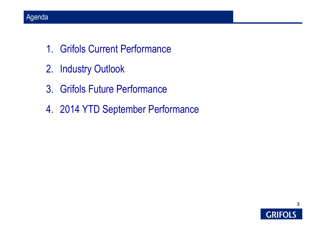- 1. Grifols Current Performance
- 2. Industry Outlook
- 3. Grifols Future Performance
- 4. 2014 YTD September Performance

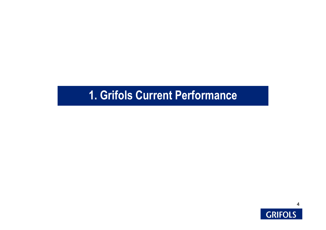# **1. Grifols Current Performance**

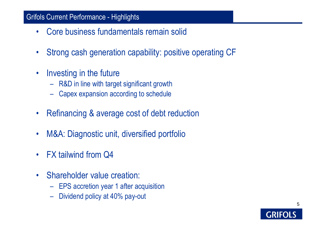#### Grifols Current Performance - Highlights

- •Core business fundamentals remain solid
- •Strong cash generation capability: positive operating CF
- • Investing in the future
	- R&D in line with target significant growth
	- Capex expansion according to schedule
- •Refinancing & average cost of debt reduction
- •M&A: Diagnostic unit, diversified portfolio
- $\bullet$ FX tailwind from Q4
- • Shareholder value creation:
	- EPS accretion year 1 after acquisition
	- Dividend policy at 40% pay-out

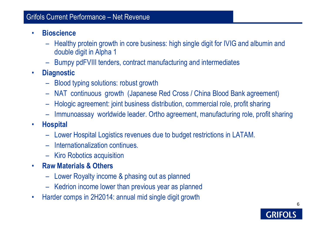#### Grifols Current Performance – Net Revenue

- • **Bioscience** 
	- – Healthy protein growth in core business: high single digit for IVIG and albumin and double digit in Alpha 1
	- Bumpy pdFVIII tenders, contract manufacturing and intermediates
- • **Diagnostic**
	- Blood typing solutions: robust growth
	- NAT continuous growth (Japanese Red Cross / China Blood Bank agreement)
	- Hologic agreement: joint business distribution, commercial role, profit sharing
	- Immunoassay worldwide leader. Ortho agreement, manufacturing role, profit sharing
- $\bullet$  **Hospital**
	- Lower Hospital Logistics revenues due to budget restrictions in LATAM.
	- –Internationalization continues.
	- Kiro Robotics acquisition
- • **Raw Materials & Others**
	- Lower Royalty income & phasing out as planned
	- Kedrion income lower than previous year as planned
- •Harder comps in 2H2014: annual mid single digit growth

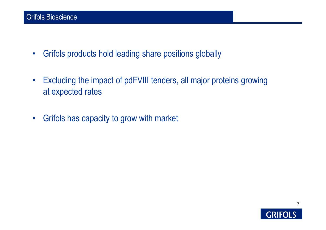- •Grifols products hold leading share positions globally
- • Excluding the impact of pdFVIII tenders, all major proteins growing at expected rates
- •Grifols has capacity to grow with market

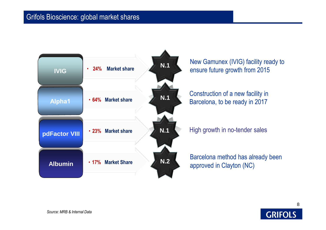#### Grifols Bioscience: global market shares



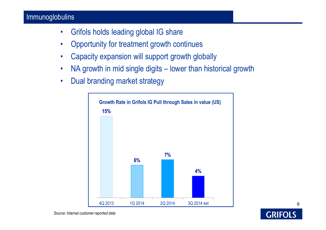#### Immunoglobulins

- $\bullet$ Grifols holds leading global IG share
- •Opportunity for treatment growth continues
- •Capacity expansion will support growth globally
- •NA growth in mid single digits – lower than historical growth
- •Dual branding market strategy

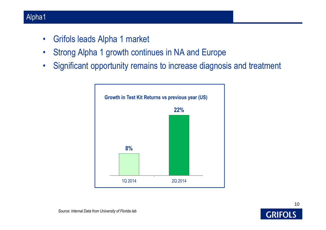#### Alpha1

- •Grifols leads Alpha 1 market
- $\bullet$ Strong Alpha 1 growth continues in NA and Europe
- •Significant opportunity remains to increase diagnosis and treatment



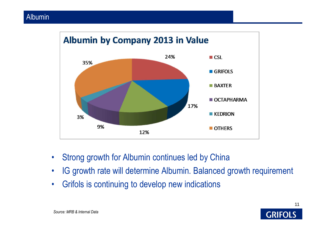

- •Strong growth for Albumin continues led by China
- •IG growth rate will determine Albumin. Balanced growth requirement
- •Grifols is continuing to develop new indications



*Source: MRB & Internal Data*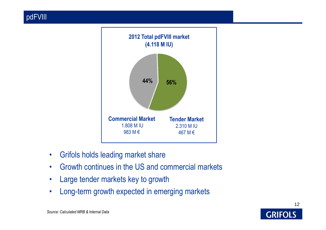

- •Grifols holds leading market share
- •Growth continues in the US and commercial markets
- •Large tender markets key to growth
- •Long-term growth expected in emerging markets

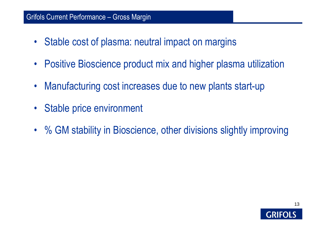#### Grifols Current Performance – Gross Margin

- Stable cost of plasma: neutral impact on margins
- $\bullet$ Positive Bioscience product mix and higher plasma utilization
- •Manufacturing cost increases due to new plants start-up
- Stable price environment
- % GM stability in Bioscience, other divisions slightly improving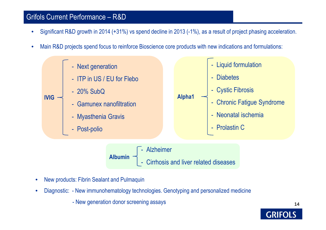#### Grifols Current Performance – R&D

- •Significant R&D growth in 2014 (+31%) vs spend decline in 2013 (-1%), as a result of project phasing acceleration.
- •Main R&D projects spend focus to reinforce Bioscience core products with new indications and formulations:



**Albumin**- Alzheimer - Cirrhosis and liver related diseases

- •New products: Fibrin Sealant and Pulmaquin
- • Diagnostic: - New immunohematology technologies. Genotyping and personalized medicine
	- New generation donor screening assays

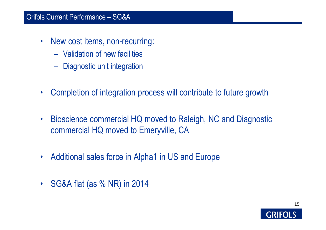#### Grifols Current Performance – SG&A

- $\bullet$  New cost items, non-recurring:
	- Validation of new facilities
	- Diagnostic unit integration
- $\bullet$ Completion of integration process will contribute to future growth
- $\bullet$  Bioscience commercial HQ moved to Raleigh, NC and Diagnostic commercial HQ moved to Emeryville, CA
- $\bullet$ Additional sales force in Alpha1 in US and Europe
- $\bullet$ SG&A flat (as % NR) in 2014

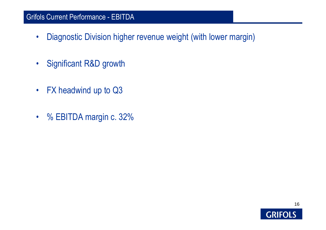#### Grifols Current Performance - EBITDA

- •Diagnostic Division higher revenue weight (with lower margin)
- •Significant R&D growth
- •FX headwind up to Q3
- % EBITDA margin c. 32%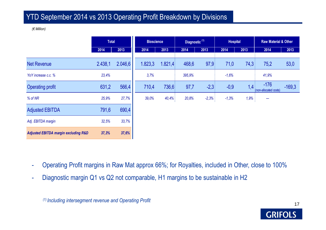#### YTD September 2014 vs 2013 Operating Profit Breakdown by Divisions

*(€ Million)*

|                                                 | <b>Total</b> |         | <b>Bioscience</b> |         | Diagnostic <sup>(1)</sup> |         | <b>Hospital</b> |      | <b>Raw Material &amp; Other</b> |          |
|-------------------------------------------------|--------------|---------|-------------------|---------|---------------------------|---------|-----------------|------|---------------------------------|----------|
|                                                 | 2014         | 2013    | 2014              | 2013    | 2014                      | 2013    | 2014            | 2013 | 2014                            | 2013     |
| <b>Net Revenue</b>                              | 2.438,1      | 2.046,6 | 1.823,3           | 1.821,4 | 468,6                     | 97,9    | 71,0            | 74,3 | 75,2                            | 53,0     |
| YoY increase c.c. %                             | 23,4%        |         | 3,7%              |         | 395,9%                    |         | $-1,6%$         |      | 41,9%                           |          |
| <b>Operating profit</b>                         | 631,2        | 566,4   | 710,4             | 736,6   | 97,7                      | $-2,3$  | $-0,9$          | 1,4  | $-176$<br>(non-allocated costs) | $-169,3$ |
| % of NR                                         | 25,9%        | 27,7%   | 39,0%             | 40,4%   | 20,8%                     | $-2,3%$ | $-1,3%$         | 1,9% | ---                             |          |
| <b>Adjusted EBITDA</b>                          | 791,6        | 690,4   |                   |         |                           |         |                 |      |                                 |          |
| Adj. EBITDA margin                              | 32,5%        | 33,7%   |                   |         |                           |         |                 |      |                                 |          |
| <b>Adjusted EBITDA margin excluding R&amp;D</b> | 37,3%        | 37,6%   |                   |         |                           |         |                 |      |                                 |          |

- -Operating Profit margins in Raw Mat approx 66%; for Royalties, included in Other, close to 100%
- -Diagnostic margin Q1 vs Q2 not comparable, H1 margins to be sustainable in H2

*(1) Including intersegment revenue and Operating Profit*

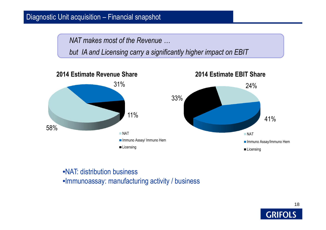#### Diagnostic Unit acquisition – Financial snapshot

*NAT makes most of the Revenue …*

*but IA and Licensing carry a significantly higher impact on EBIT*



•NAT: distribution business•Immunoassay: manufacturing activity / business

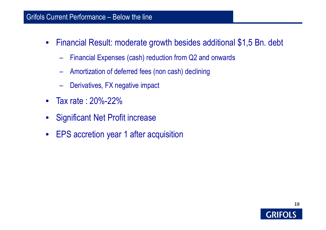#### Grifols Current Performance – Below the line

- $\bullet$  Financial Result: moderate growth besides additional \$1,5 Bn. debt
	- $\mathcal{A}=\{x_1,\ldots,x_n\}$ Financial Expenses (cash) reduction from Q2 and onwards
	- $\mathcal{A}=\{x_1,\ldots,x_n\}$ Amortization of deferred fees (non cash) declining
	- –Derivatives, FX negative impact
- $\bullet$ Tax rate : 20%-22%
- •Significant Net Profit increase
- $\bullet$ EPS accretion year 1 after acquisition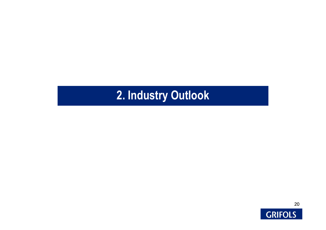# **2. Industry Outlook**

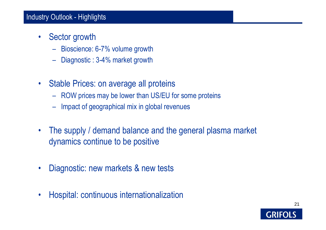#### Industry Outlook - Highlights

- $\bullet$  Sector growth
	- $\mathcal{A}=\{x_1,\ldots,x_n\}$ Bioscience: 6-7% volume growth
	- $\mathcal{A}=\{x_1,\ldots,x_n\}$ Diagnostic : 3-4% market growth
- Stable Prices: on average all proteins
	- –ROW prices may be lower than US/EU for some proteins
	- –Impact of geographical mix in global revenues
- • The supply / demand balance and the general plasma market dynamics continue to be positive
- $\bullet$ Diagnostic: new markets & new tests
- •Hospital: continuous internationalization

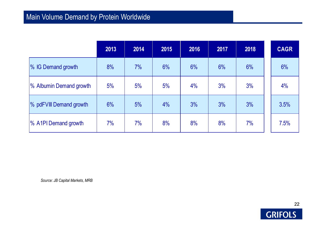## Main Volume Demand by Protein Worldwide

|                         | 2013 | 2014 | 2015 | 2016 | 2017 | 2018 | <b>CAGR</b> |
|-------------------------|------|------|------|------|------|------|-------------|
| % IG Demand growth      | 8%   | 7%   | 6%   | 6%   | 6%   | 6%   | 6%          |
| % Albumin Demand growth | 5%   | 5%   | 5%   | 4%   | 3%   | 3%   | 4%          |
| % pdFVIII Demand growth | 6%   | 5%   | 4%   | 3%   | 3%   | 3%   | 3.5%        |
| % A1PI Demand growth    | 7%   | 7%   | 8%   | 8%   | 8%   | 7%   | 7.5%        |

*Source: JB Capital Markets, MRB*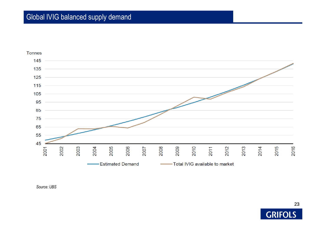#### Global IVIG balanced supply demand





*Source: UBS*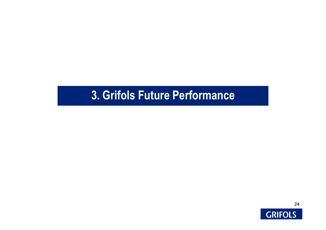## **3. Grifols Future Performance**

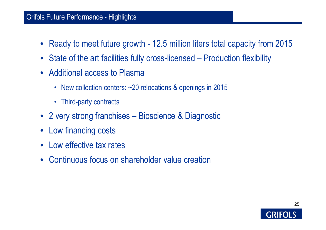#### Grifols Future Performance - Highlights

- Ready to meet future growth 12.5 million liters total capacity from 2015
- State of the art facilities fully cross-licensed Production flexibility
- Additional access to Plasma
	- New collection centers: ~20 relocations & openings in 2015
	- Third-party contracts
- 2 very strong franchises Bioscience & Diagnostic
- Low financing costs
- $\bullet$ Low effective tax rates
- $\bullet$ Continuous focus on shareholder value creation

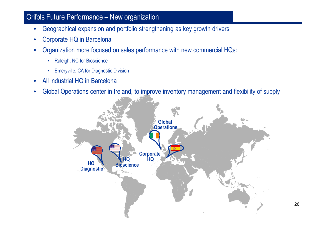#### Grifols Future Performance – New organization

- •Geographical expansion and portfolio strengthening as key growth drivers
- $\bullet$ Corporate HQ in Barcelona
- • Organization more focused on sales performance with new commercial HQs:
	- Raleigh, NC for Bioscience
	- Emeryville, CA for Diagnostic Division
- •All industrial HQ in Barcelona
- $\bullet$ Global Operations center in Ireland, to improve inventory management and flexibility of supply

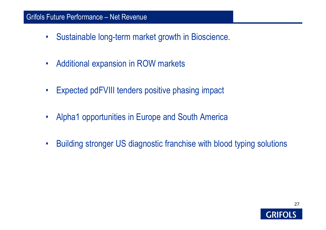#### Grifols Future Performance – Net Revenue

- $\bullet$ Sustainable long-term market growth in Bioscience.
- $\bullet$ Additional expansion in ROW markets
- $\bullet$ Expected pdFVIII tenders positive phasing impact
- $\bullet$ Alpha1 opportunities in Europe and South America
- $\bullet$ Building stronger US diagnostic franchise with blood typing solutions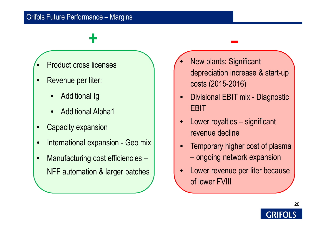#### Grifols Future Performance – Margins

## **+**

- •Product cross licenses
- • Revenue per liter:
	- •Additional Ig
	- •Additional Alpha1
- •Capacity expansion
- •International expansion - Geo mix
- •Manufacturing cost efficiencies -NFF automation & larger batches
- • New plants: Significant depreciation increase & start-up costs (2015-2016)
- • Divisional EBIT mix - Diagnostic EBIT
- • Lower royalties – significant revenue decline
- $\bullet$  Temporary higher cost of plasma ongoing network expansion
- • Lower revenue per liter because of lower FVIII

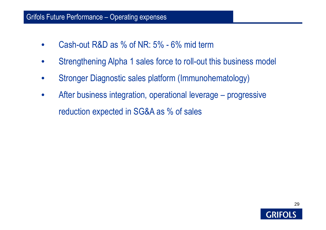#### Grifols Future Performance – Operating expenses

- •Cash-out R&D as % of NR: 5% - 6% mid term
- •Strengthening Alpha 1 sales force to roll-out this business model
- •Stronger Diagnostic sales platform (Immunohematology)
- $\bullet$  After business integration, operational leverage – progressive reduction expected in SG&A as % of sales

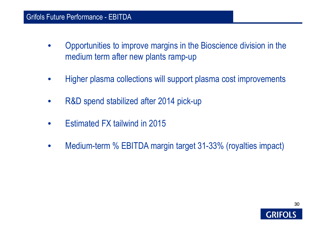#### Grifols Future Performance - EBITDA

- $\bullet$  Opportunities to improve margins in the Bioscience division in the medium term after new plants ramp-up
- •Higher plasma collections will support plasma cost improvements
- •R&D spend stabilized after 2014 pick-up
- •Estimated FX tailwind in 2015
- $\bullet$ Medium-term % EBITDA margin target 31-33% (royalties impact)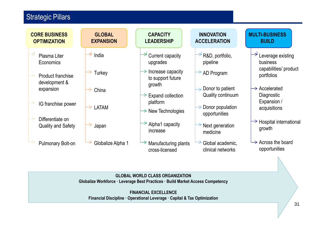#### **Strategic Pillars**



**Globalize Workforce · Leverage Best Practices · Build Market Access Competency**

**FINANCIAL EXCELLENCEFinancial Discipline · Operational Leverage · Capital & Tax Optimization**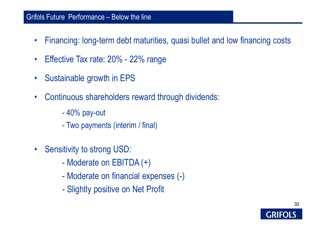#### Grifols Future Performance – Below the line

- •Financing: long-term debt maturities, quasi bullet and low financing costs
- $\bullet$ Effective Tax rate: 20% - 22% range
- •Sustainable growth in EPS
- • Continuous shareholders reward through dividends:
	- -40% pay-out
	- -Two payments (interim / final)
- $\bullet$  Sensitivity to strong USD:
	- $\mathcal{L}_{\mathcal{A}}$ Moderate on EBITDA (+)
	- $\mathcal{L}_{\mathcal{A}}$ Moderate on financial expenses (-)
	- $\mathcal{L}_{\mathcal{A}}$ Slightly positive on Net Profit

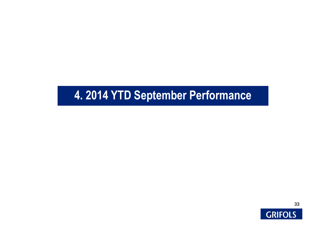# **4. 2014 YTD September Performance**

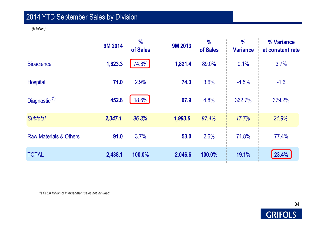## 2014 YTD September Sales by Division

*(€ Million)*

|                                   | <b>9M 2014</b> | $\frac{0}{0}$<br>of Sales | <b>9M 2013</b> | $\frac{0}{0}$<br>of Sales | $\frac{0}{0}$<br><b>Variance</b> | % Variance<br>at constant rate |
|-----------------------------------|----------------|---------------------------|----------------|---------------------------|----------------------------------|--------------------------------|
| <b>Bioscience</b>                 | 1,823.3        | 74.8%                     | 1,821.4        | 89.0%                     | 0.1%                             | 3.7%                           |
| <b>Hospital</b>                   | 71.0           | 2.9%                      | 74.3           | 3.6%                      | $-4.5%$                          | $-1.6$                         |
| Diagnostic <sup>(*)</sup>         | 452.8          | 18.6%                     | 97.9           | 4.8%                      | 362.7%                           | 379.2%                         |
| <b>Subtotal</b>                   | 2,347.1        | 96.3%                     | 1,993.6        | 97.4%                     | 17.7%                            | 21.9%                          |
| <b>Raw Materials &amp; Others</b> | 91.0           | 3.7%                      | 53.0           | 2.6%                      | 71.8%                            | 77.4%                          |
| <b>TOTAL</b>                      | 2,438.1        | 100.0%                    | 2,046.6        | 100.0%                    | 19.1%                            | 23.4%                          |

*(\*) €15.8 Million of intersegment sales not included*

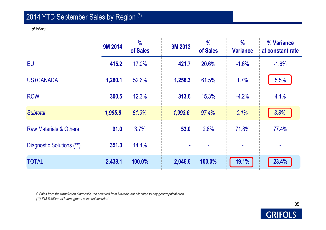## 2014 YTD September Sales by Region (\*)

*(€ Million)*

|                                   | <b>9M 2014</b> | $\frac{0}{0}$<br>of Sales | <b>9M 2013</b> | $\frac{1}{2}$<br>of Sales | $\frac{0}{0}$<br><b>Variance</b> | % Variance<br>at constant rate |
|-----------------------------------|----------------|---------------------------|----------------|---------------------------|----------------------------------|--------------------------------|
| <b>EU</b>                         | 415.2          | 17.0%                     | 421.7          | 20.6%                     | $-1.6%$                          | $-1.6%$                        |
| US+CANADA                         | 1,280.1        | 52.6%                     | 1,258.3        | 61.5%                     | 1.7%                             | 5.5%                           |
| <b>ROW</b>                        | 300.5          | 12.3%                     | 313.6          | 15.3%                     | $-4.2%$                          | 4.1%                           |
| <b>Subtotal</b>                   | 1,995.8        | 81.9%                     | 1,993.6        | 97.4%                     | 0.1%                             | 3.8%                           |
| <b>Raw Materials &amp; Others</b> | 91.0           | 3.7%                      | 53.0           | 2.6%                      | 71.8%                            | 77.4%                          |
| Diagnostic Solutions (**)         | 351.3          | 14.4%                     |                |                           | ۰                                |                                |
| <b>TOTAL</b>                      | 2,438.1        | 100.0%                    | 2,046.6        | 100.0%                    | 19.1%                            | 23.4%                          |

*(\*) Sales from the transfusion diagnostic unit acquired from Novartis not allocated to any geographical area*

*(\*\*) €15.8 Million of intersegment sales not included*

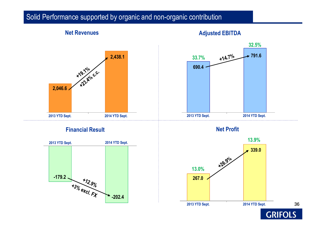#### Solid Performance supported by organic and non-organic contribution

# **2,438.1**+19.19/0 C.C. **2,046.6**1**2013 YTD Sept.**

**Net Revenues**

#### **Financial Result**



#### **Adjusted EBITDA**



**Net Profit**

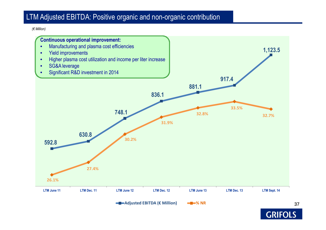#### LTM Adjusted EBITDA: Positive organic and non-organic contribution

*(€ Million)*



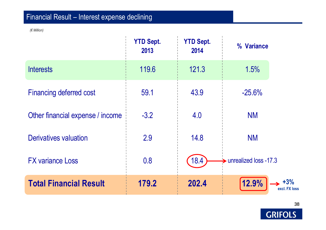## Financial Result – Interest expense declining

*(€ Million)*

|                                  | <b>YTD Sept.</b><br>2013 | <b>YTD Sept.</b><br>2014 | % Variance             |
|----------------------------------|--------------------------|--------------------------|------------------------|
| <b>Interests</b>                 | 119.6                    | 121.3                    | 1.5%                   |
| <b>Financing deferred cost</b>   | 59.1                     | 43.9                     | $-25.6%$               |
| Other financial expense / income | $-3.2$                   | 4.0                      | <b>NM</b>              |
| <b>Derivatives valuation</b>     | 2.9                      | 14.8                     | <b>NM</b>              |
| <b>FX variance Loss</b>          | 0.8                      | 18.4                     | unrealized loss -17.3  |
| <b>Total Financial Result</b>    | 179.2                    | 202.4                    | 12.9%<br>excl. FX loss |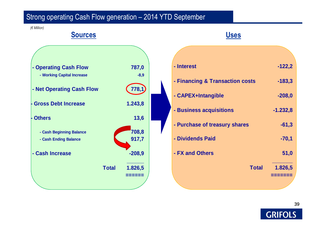#### Strong operating Cash Flow generation – 2014 YTD September

**Uses**

*(€ Million)*

## **- Operating Cash Flow 787,0** $-8,9$  **- Working Capital Increase -8,9 - Net Operating Cash Flow 778,1- Gross Debt Increase 1.243,8- Others 13,6 - Cash Beginning Balance 708,8 917,7 - Cash Ending Balance - Cash Increase -208,9 Total 1.826,5======**

**Sources**

# **- Interest -122,2- Financing & Transaction costs -183,3- CAPEX+Intangible -208,0- Business acquisitions -1.232,8- Purchase of treasury shares -61,3- Dividends Paid -70,1- FX and Others 51,0 Total 1.826,5=======**

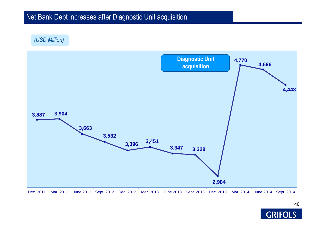#### Net Bank Debt increases after Diagnostic Unit acquisition

*(USD Million)*



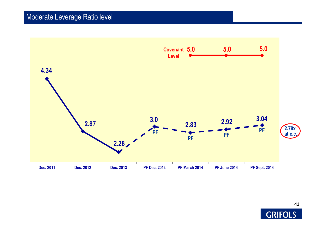

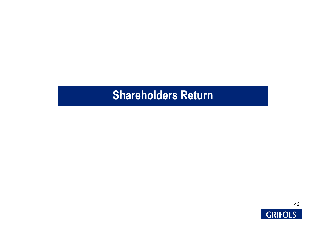## **Shareholders Return**

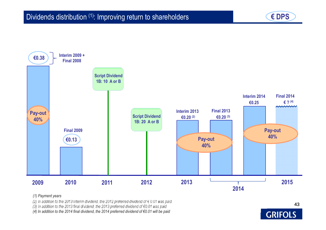



*(1) Payment years*

*(2) In addition to the 2013 interim dividend, the 2012 preferred dividend of € 0.01 was paid* 

*(3) In addition to the 2013 final dividend, the 2013 preferred dividend of €0.01 was paid*

*(4) In addition to the 2014 final dividend, the 2014 preferred dividend of €0.01 will be paid*